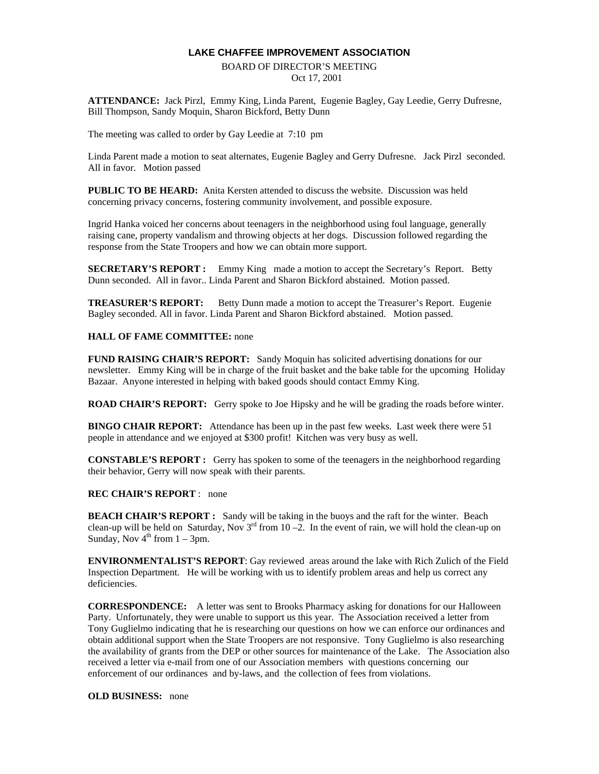## **LAKE CHAFFEE IMPROVEMENT ASSOCIATION**

## BOARD OF DIRECTOR'S MEETING Oct 17, 2001

**ATTENDANCE:** Jack Pirzl, Emmy King, Linda Parent, Eugenie Bagley, Gay Leedie, Gerry Dufresne, Bill Thompson, Sandy Moquin, Sharon Bickford, Betty Dunn

The meeting was called to order by Gay Leedie at 7:10 pm

Linda Parent made a motion to seat alternates, Eugenie Bagley and Gerry Dufresne. Jack Pirzl seconded. All in favor. Motion passed

**PUBLIC TO BE HEARD:** Anita Kersten attended to discuss the website. Discussion was held concerning privacy concerns, fostering community involvement, and possible exposure.

Ingrid Hanka voiced her concerns about teenagers in the neighborhood using foul language, generally raising cane, property vandalism and throwing objects at her dogs. Discussion followed regarding the response from the State Troopers and how we can obtain more support.

**SECRETARY'S REPORT :** Emmy King made a motion to accept the Secretary's Report. Betty Dunn seconded. All in favor.. Linda Parent and Sharon Bickford abstained. Motion passed.

**TREASURER'S REPORT:** Betty Dunn made a motion to accept the Treasurer's Report. Eugenie Bagley seconded. All in favor. Linda Parent and Sharon Bickford abstained. Motion passed.

## **HALL OF FAME COMMITTEE:** none

**FUND RAISING CHAIR'S REPORT:** Sandy Moquin has solicited advertising donations for our newsletter. Emmy King will be in charge of the fruit basket and the bake table for the upcoming Holiday Bazaar. Anyone interested in helping with baked goods should contact Emmy King.

**ROAD CHAIR'S REPORT:** Gerry spoke to Joe Hipsky and he will be grading the roads before winter.

**BINGO CHAIR REPORT:** Attendance has been up in the past few weeks. Last week there were 51 people in attendance and we enjoyed at \$300 profit! Kitchen was very busy as well.

**CONSTABLE'S REPORT :** Gerry has spoken to some of the teenagers in the neighborhood regarding their behavior, Gerry will now speak with their parents.

## **REC CHAIR'S REPORT** : none

**BEACH CHAIR'S REPORT :** Sandy will be taking in the buoys and the raft for the winter. Beach clean-up will be held on Saturday, Nov  $3<sup>rd</sup>$  from 10 –2. In the event of rain, we will hold the clean-up on Sunday, Nov  $4^{th}$  from  $1 - 3$ pm.

**ENVIRONMENTALIST'S REPORT**: Gay reviewed areas around the lake with Rich Zulich of the Field Inspection Department. He will be working with us to identify problem areas and help us correct any deficiencies.

**CORRESPONDENCE:** A letter was sent to Brooks Pharmacy asking for donations for our Halloween Party. Unfortunately, they were unable to support us this year. The Association received a letter from Tony Guglielmo indicating that he is researching our questions on how we can enforce our ordinances and obtain additional support when the State Troopers are not responsive. Tony Guglielmo is also researching the availability of grants from the DEP or other sources for maintenance of the Lake. The Association also received a letter via e-mail from one of our Association members with questions concerning our enforcement of our ordinances and by-laws, and the collection of fees from violations.

**OLD BUSINESS:** none